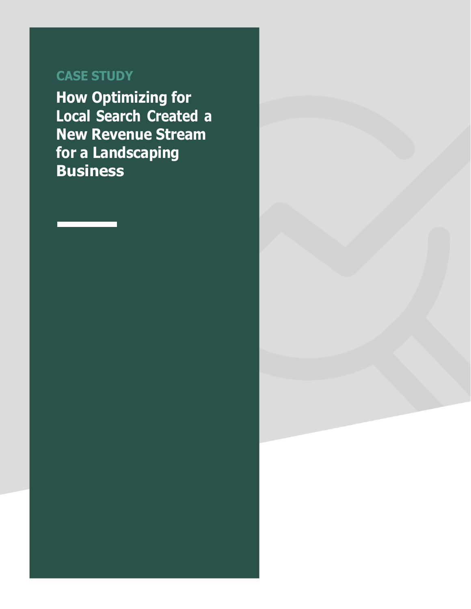### **CASE STUDY**

**How Optimizing for Local Search Created a New Revenue Stream for a Landscaping Business**

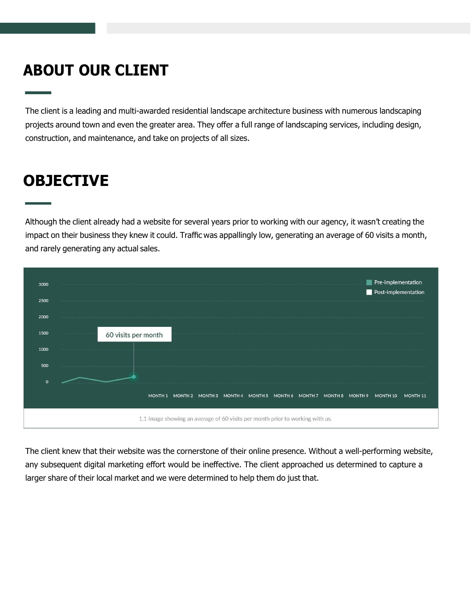## **ABOUT OUR CLIENT**

The client is a leading and multi-awarded residential landscape architecture business with numerous landscaping projects around town and even the greater area. They offer a full range of landscaping services, including design, construction, and maintenance, and take on projects of all sizes.

# **OBJECTIVE**

Although the client already had a website for several years prior to working with our agency, it wasn't creating the impact on their business they knew it could. Traffic was appallingly low, generating an average of 60 visits a month, and rarely generating any actual sales.

| 3000 |                     | Pre-implementation<br>Post-implementation |
|------|---------------------|-------------------------------------------|
| 2500 |                     |                                           |
|      |                     |                                           |
| 2000 |                     |                                           |
| 1500 | 60 visits per month |                                           |



The client knew that their website was the cornerstone of their online presence. Without a well-performing website, any subsequent digital marketing effort would be ineffective. The client approached us determined to capture a larger share of their local market and we were determined to help them do just that.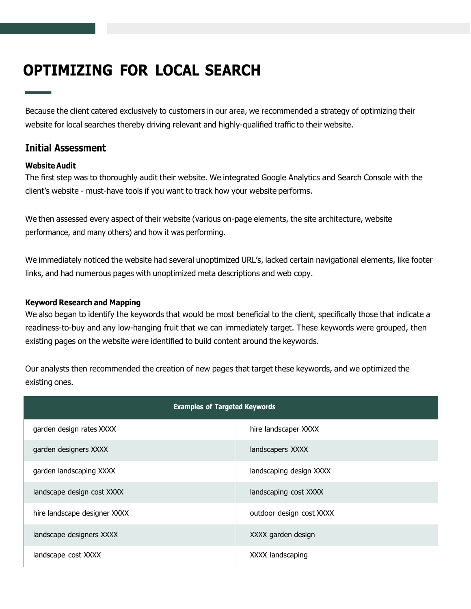| <b>Examples of Targeted Keywords</b> |                          |  |  |  |  |  |
|--------------------------------------|--------------------------|--|--|--|--|--|
| garden design rates XXXX             | hire landscaper XXXX     |  |  |  |  |  |
| garden designers XXXX                | landscapers XXXX         |  |  |  |  |  |
| garden landscaping XXXX              | landscaping design XXXX  |  |  |  |  |  |
| landscape design cost XXXX           | landscaping cost XXXX    |  |  |  |  |  |
| hire landscape designer XXXX         | outdoor design cost XXXX |  |  |  |  |  |
| landscape designers XXXX             | XXXX garden design       |  |  |  |  |  |
| landscape cost XXXX                  | XXXX landscaping         |  |  |  |  |  |

## **OPTIMIZING FOR LOCAL SEARCH**

Because the client catered exclusively to customers in our area, we recommended a strategy of optimizing their website for local searches thereby driving relevant and highly-qualified traffic to their website.

### **Initial Assessment**

#### **Website Audit**

The first step was to thoroughly audit their website. We integrated Google Analytics and Search Console with the client's website - must-have tools if you want to track how your website performs.

We also began to identify the keywords that would be most beneficial to the client, specifically those that indicate a readiness-to-buy and any low-hanging fruit that we can immediately target. These keywords were grouped, then existing pages on the website were identified to build content around the keywords.

We then assessed every aspect of their website (various on-page elements, the site architecture, website performance, and many others) and how it was performing.

We immediately noticed the website had several unoptimized URL's, lacked certain navigational elements, like footer links, and had numerous pages with unoptimized meta descriptions and web copy.

#### **Keyword Research and Mapping**

Our analysts then recommended the creation of new pages that target these keywords, and we optimized the existing ones.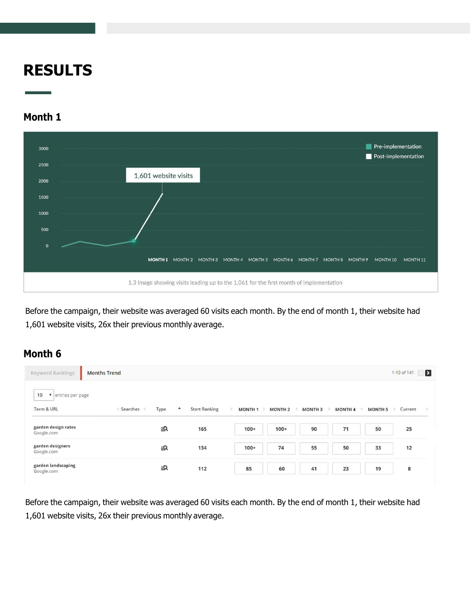## **RESULTS**

### **Month 1**



Before the campaign, their website was averaged 60 visits each month. By the end of month 1, their website had 1,601 website visits, 26x their previous monthly average.

### **Month 6**

| <b>Keyword Rankings</b>                              | <b>Months Trend</b>  |                           |                                      |                     |                                                                                                   |                | $\blacktriangleright$<br>1-10 of 141 |
|------------------------------------------------------|----------------------|---------------------------|--------------------------------------|---------------------|---------------------------------------------------------------------------------------------------|----------------|--------------------------------------|
| 10<br>entries per page<br>$\mathbf{v}$<br>Term & URL | Type<br>≑ Searches ≑ | <b>Start Ranking</b><br>٠ | <b>MONTH1</b><br><b>MONTH 2</b><br>÷ | <b>MONTH3</b><br>10 | <b>MONTH 4</b><br>$\frac{1}{2} \frac{1}{2} \left( \frac{1}{2} \right) \left( \frac{1}{2} \right)$ | <b>MONTH 5</b> | Current<br>÷                         |
| garden design rates<br>Google.com                    | <u>=О</u>            | 165                       | $100+$                               | 90<br>$100+$        | 71                                                                                                | 50             | 25                                   |
| garden designers<br>Google.com                       | ≣Q                   | 134                       | 74<br>$100+$                         | 55                  | 50                                                                                                | 33             | 12                                   |
| garden landscaping<br>Google.com                     | ≣Q                   | 112                       | 85                                   | 60<br>41            | 23                                                                                                | 19             | 8                                    |

Before the campaign, their website was averaged 60 visits each month. By the end of month 1, their website had 1,601 website visits, 26x their previous monthly average.